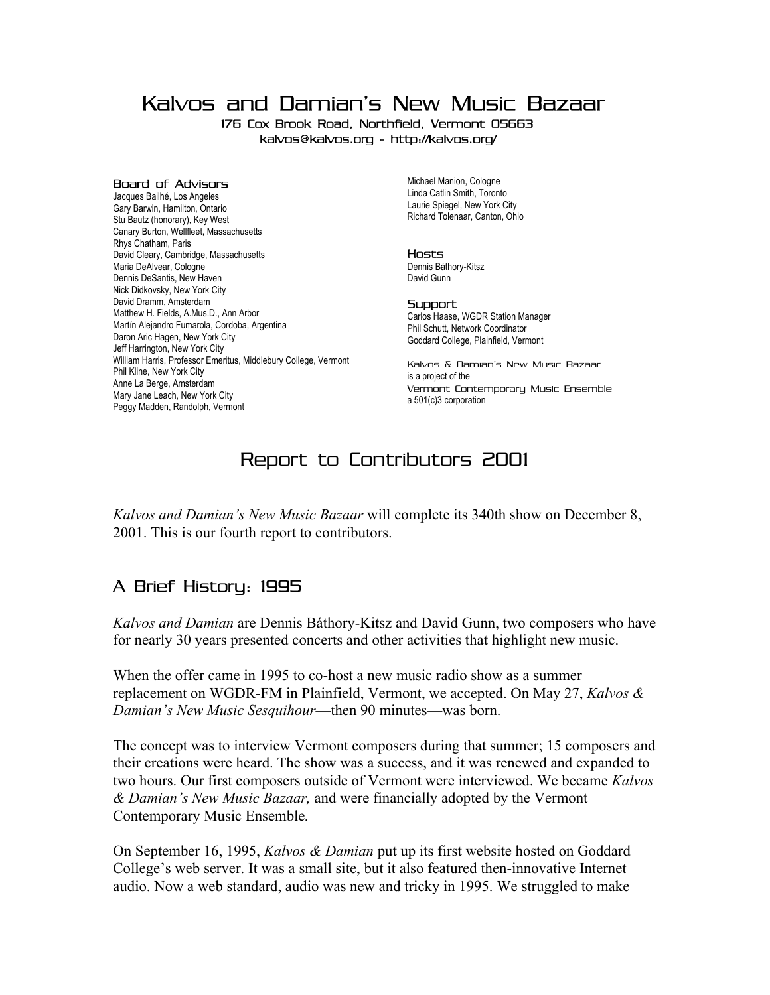Kalvos and Damian's New Music Bazaar

176 Cox Brook Road, Northfield, Vermont 05663 kalvos@kalvos.org - http://kalvos.org/

#### Board of Advisors

Jacques Bailhé, Los Angeles Gary Barwin, Hamilton, Ontario Stu Bautz (honorary), Key West Canary Burton, Wellfleet, Massachusetts Rhys Chatham, Paris David Cleary, Cambridge, Massachusetts Maria DeAlvear, Cologne Dennis DeSantis, New Haven Nick Didkovsky, New York City David Dramm, Amsterdam Matthew H. Fields, A.Mus.D., Ann Arbor Martín Alejandro Fumarola, Cordoba, Argentina Daron Aric Hagen, New York City Jeff Harrington, New York City William Harris, Professor Emeritus, Middlebury College, Vermont Phil Kline, New York City Anne La Berge, Amsterdam Mary Jane Leach, New York City Peggy Madden, Randolph, Vermont

Michael Manion, Cologne Linda Catlin Smith, Toronto Laurie Spiegel, New York City Richard Tolenaar, Canton, Ohio

#### Hosts

Dennis Báthory-Kitsz David Gunn

#### **Support**

Carlos Haase, WGDR Station Manager Phil Schutt, Network Coordinator Goddard College, Plainfield, Vermont

Kalvos & Damian's New Music Bazaar is a project of the Vermont Contemporary Music Ensemble a 501(c)3 corporation

# Report to Contributors 2001

*Kalvos and Damian's New Music Bazaar* will complete its 340th show on December 8, 2001. This is our fourth report to contributors.

# A Brief History: 1995

*Kalvos and Damian* are Dennis Báthory-Kitsz and David Gunn, two composers who have for nearly 30 years presented concerts and other activities that highlight new music.

When the offer came in 1995 to co-host a new music radio show as a summer replacement on WGDR-FM in Plainfield, Vermont, we accepted. On May 27, *Kalvos & Damian's New Music Sesquihour*—then 90 minutes—was born.

The concept was to interview Vermont composers during that summer; 15 composers and their creations were heard. The show was a success, and it was renewed and expanded to two hours. Our first composers outside of Vermont were interviewed. We became *Kalvos & Damian's New Music Bazaar,* and were financially adopted by the Vermont Contemporary Music Ensemble*.*

On September 16, 1995, *Kalvos & Damian* put up its first website hosted on Goddard College's web server. It was a small site, but it also featured then-innovative Internet audio. Now a web standard, audio was new and tricky in 1995. We struggled to make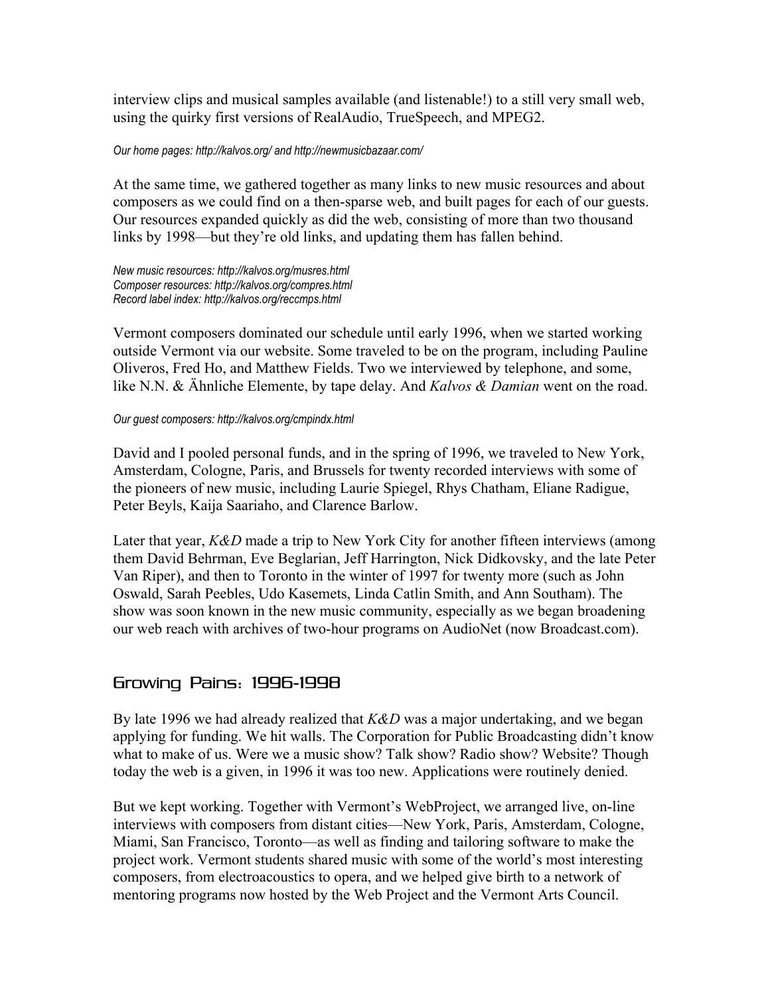interview clips and musical samples available (and listenable!) to a still very small web, using the quirky first versions of RealAudio, TrueSpeech, and MPEG2.

#### *Our home pages: http://kalvos.org/ and http://newmusicbazaar.com/*

At the same time, we gathered together as many links to new music resources and about composers as we could find on a then-sparse web, and built pages for each of our guests. Our resources expanded quickly as did the web, consisting of more than two thousand links by 1998—but they're old links, and updating them has fallen behind.

*New music resources: http://kalvos.org/musres.html Composer resources: http://kalvos.org/compres.html Record label index: http://kalvos.org/reccmps.html*

Vermont composers dominated our schedule until early 1996, when we started working outside Vermont via our website. Some traveled to be on the program, including Pauline Oliveros, Fred Ho, and Matthew Fields. Two we interviewed by telephone, and some, like N.N. & Ähnliche Elemente, by tape delay. And *Kalvos & Damian* went on the road.

### *Our guest composers: http://kalvos.org/cmpindx.html*

David and I pooled personal funds, and in the spring of 1996, we traveled to New York, Amsterdam, Cologne, Paris, and Brussels for twenty recorded interviews with some of the pioneers of new music, including Laurie Spiegel, Rhys Chatham, Eliane Radigue, Peter Beyls, Kaija Saariaho, and Clarence Barlow.

Later that year, *K&D* made a trip to New York City for another fifteen interviews (among them David Behrman, Eve Beglarian, Jeff Harrington, Nick Didkovsky, and the late Peter Van Riper), and then to Toronto in the winter of 1997 for twenty more (such as John Oswald, Sarah Peebles, Udo Kasemets, Linda Catlin Smith, and Ann Southam). The show was soon known in the new music community, especially as we began broadening our web reach with archives of two-hour programs on AudioNet (now Broadcast.com).

### Growing Pains: 1996-1998

By late 1996 we had already realized that *K&D* was a major undertaking, and we began applying for funding. We hit walls. The Corporation for Public Broadcasting didn't know what to make of us. Were we a music show? Talk show? Radio show? Website? Though today the web is a given, in 1996 it was too new. Applications were routinely denied.

But we kept working. Together with Vermont's WebProject, we arranged live, on-line interviews with composers from distant cities—New York, Paris, Amsterdam, Cologne, Miami, San Francisco, Toronto—as well as finding and tailoring software to make the project work. Vermont students shared music with some of the world's most interesting composers, from electroacoustics to opera, and we helped give birth to a network of mentoring programs now hosted by the Web Project and the Vermont Arts Council.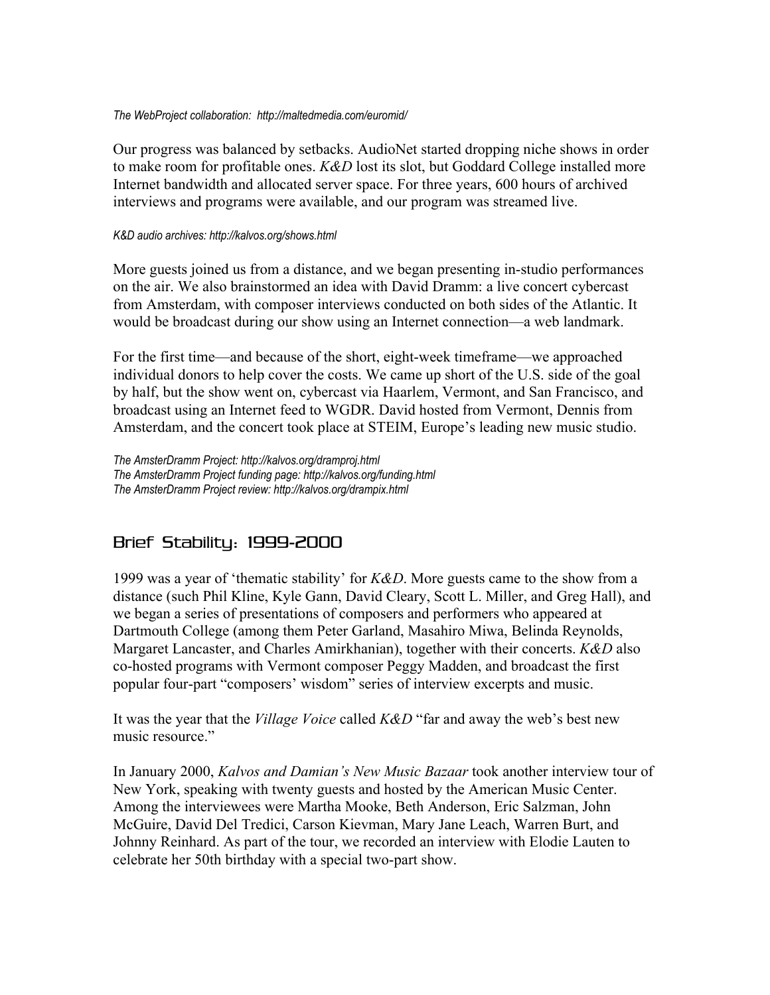#### *The WebProject collaboration: http://maltedmedia.com/euromid/*

Our progress was balanced by setbacks. AudioNet started dropping niche shows in order to make room for profitable ones. *K&D* lost its slot, but Goddard College installed more Internet bandwidth and allocated server space. For three years, 600 hours of archived interviews and programs were available, and our program was streamed live.

#### *K&D audio archives: http://kalvos.org/shows.html*

More guests joined us from a distance, and we began presenting in-studio performances on the air. We also brainstormed an idea with David Dramm: a live concert cybercast from Amsterdam, with composer interviews conducted on both sides of the Atlantic. It would be broadcast during our show using an Internet connection—a web landmark.

For the first time—and because of the short, eight-week timeframe—we approached individual donors to help cover the costs. We came up short of the U.S. side of the goal by half, but the show went on, cybercast via Haarlem, Vermont, and San Francisco, and broadcast using an Internet feed to WGDR. David hosted from Vermont, Dennis from Amsterdam, and the concert took place at STEIM, Europe's leading new music studio.

*The AmsterDramm Project: http://kalvos.org/dramproj.html The AmsterDramm Project funding page: http://kalvos.org/funding.html The AmsterDramm Project review: http://kalvos.org/drampix.html*

# Brief Stability: 1999-2000

1999 was a year of 'thematic stability' for *K&D*. More guests came to the show from a distance (such Phil Kline, Kyle Gann, David Cleary, Scott L. Miller, and Greg Hall), and we began a series of presentations of composers and performers who appeared at Dartmouth College (among them Peter Garland, Masahiro Miwa, Belinda Reynolds, Margaret Lancaster, and Charles Amirkhanian), together with their concerts. *K&D* also co-hosted programs with Vermont composer Peggy Madden, and broadcast the first popular four-part "composers' wisdom" series of interview excerpts and music.

It was the year that the *Village Voice* called *K&D* "far and away the web's best new music resource"

In January 2000, *Kalvos and Damian's New Music Bazaar* took another interview tour of New York, speaking with twenty guests and hosted by the American Music Center. Among the interviewees were Martha Mooke, Beth Anderson, Eric Salzman, John McGuire, David Del Tredici, Carson Kievman, Mary Jane Leach, Warren Burt, and Johnny Reinhard. As part of the tour, we recorded an interview with Elodie Lauten to celebrate her 50th birthday with a special two-part show.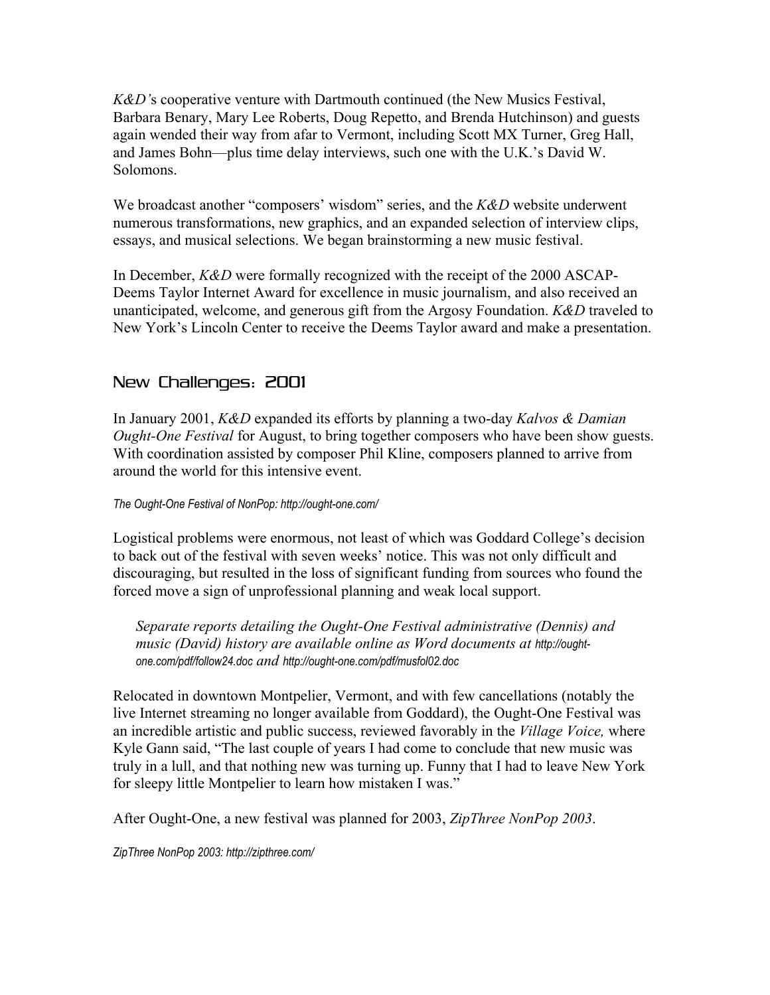*K&D'*s cooperative venture with Dartmouth continued (the New Musics Festival, Barbara Benary, Mary Lee Roberts, Doug Repetto, and Brenda Hutchinson) and guests again wended their way from afar to Vermont, including Scott MX Turner, Greg Hall, and James Bohn—plus time delay interviews, such one with the U.K.'s David W. Solomons.

We broadcast another "composers' wisdom" series, and the *K&D* website underwent numerous transformations, new graphics, and an expanded selection of interview clips, essays, and musical selections. We began brainstorming a new music festival.

In December, *K&D* were formally recognized with the receipt of the 2000 ASCAP-Deems Taylor Internet Award for excellence in music journalism, and also received an unanticipated, welcome, and generous gift from the Argosy Foundation. *K&D* traveled to New York's Lincoln Center to receive the Deems Taylor award and make a presentation.

### New Challenges: 2001

In January 2001, *K&D* expanded its efforts by planning a two-day *Kalvos & Damian Ought-One Festival* for August, to bring together composers who have been show guests. With coordination assisted by composer Phil Kline, composers planned to arrive from around the world for this intensive event.

### *The Ought-One Festival of NonPop: http://ought-one.com/*

Logistical problems were enormous, not least of which was Goddard College's decision to back out of the festival with seven weeks' notice. This was not only difficult and discouraging, but resulted in the loss of significant funding from sources who found the forced move a sign of unprofessional planning and weak local support.

*Separate reports detailing the Ought-One Festival administrative (Dennis) and* music (David) history are available online as Word documents at http://ought*one.com/pdf/follow24.doc and http://ought-one.com/pdf/musfol02.doc*

Relocated in downtown Montpelier, Vermont, and with few cancellations (notably the live Internet streaming no longer available from Goddard), the Ought-One Festival was an incredible artistic and public success, reviewed favorably in the *Village Voice,* where Kyle Gann said, "The last couple of years I had come to conclude that new music was truly in a lull, and that nothing new was turning up. Funny that I had to leave New York for sleepy little Montpelier to learn how mistaken I was."

After Ought-One, a new festival was planned for 2003, *ZipThree NonPop 2003*.

*ZipThree NonPop 2003: http://zipthree.com/*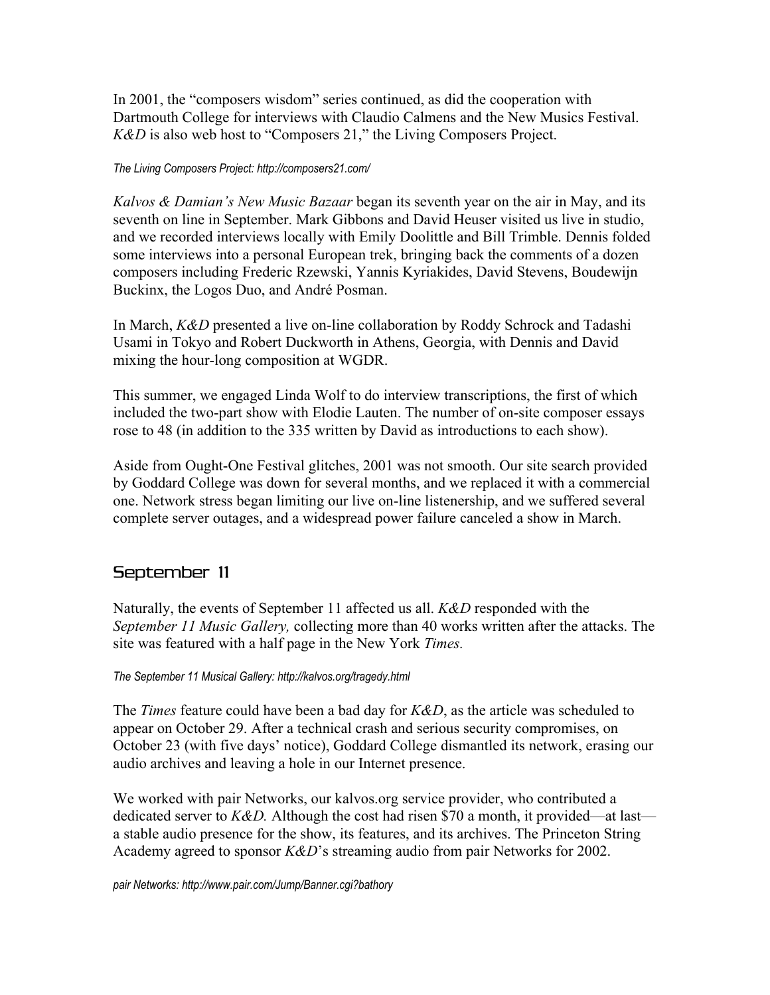In 2001, the "composers wisdom" series continued, as did the cooperation with Dartmouth College for interviews with Claudio Calmens and the New Musics Festival. *K&D* is also web host to "Composers 21," the Living Composers Project.

### *The Living Composers Project: http://composers21.com/*

*Kalvos & Damian's New Music Bazaar* began its seventh year on the air in May, and its seventh on line in September. Mark Gibbons and David Heuser visited us live in studio, and we recorded interviews locally with Emily Doolittle and Bill Trimble. Dennis folded some interviews into a personal European trek, bringing back the comments of a dozen composers including Frederic Rzewski, Yannis Kyriakides, David Stevens, Boudewijn Buckinx, the Logos Duo, and André Posman.

In March, *K&D* presented a live on-line collaboration by Roddy Schrock and Tadashi Usami in Tokyo and Robert Duckworth in Athens, Georgia, with Dennis and David mixing the hour-long composition at WGDR.

This summer, we engaged Linda Wolf to do interview transcriptions, the first of which included the two-part show with Elodie Lauten. The number of on-site composer essays rose to 48 (in addition to the 335 written by David as introductions to each show).

Aside from Ought-One Festival glitches, 2001 was not smooth. Our site search provided by Goddard College was down for several months, and we replaced it with a commercial one. Network stress began limiting our live on-line listenership, and we suffered several complete server outages, and a widespread power failure canceled a show in March.

### September 11

Naturally, the events of September 11 affected us all. *K&D* responded with the *September 11 Music Gallery,* collecting more than 40 works written after the attacks. The site was featured with a half page in the New York *Times.*

### *The September 11 Musical Gallery: http://kalvos.org/tragedy.html*

The *Times* feature could have been a bad day for *K&D*, as the article was scheduled to appear on October 29. After a technical crash and serious security compromises, on October 23 (with five days' notice), Goddard College dismantled its network, erasing our audio archives and leaving a hole in our Internet presence.

We worked with pair Networks, our kalvos.org service provider, who contributed a dedicated server to *K&D.* Although the cost had risen \$70 a month, it provided—at last a stable audio presence for the show, its features, and its archives. The Princeton String Academy agreed to sponsor *K&D*'s streaming audio from pair Networks for 2002.

*pair Networks: http://www.pair.com/Jump/Banner.cgi?bathory*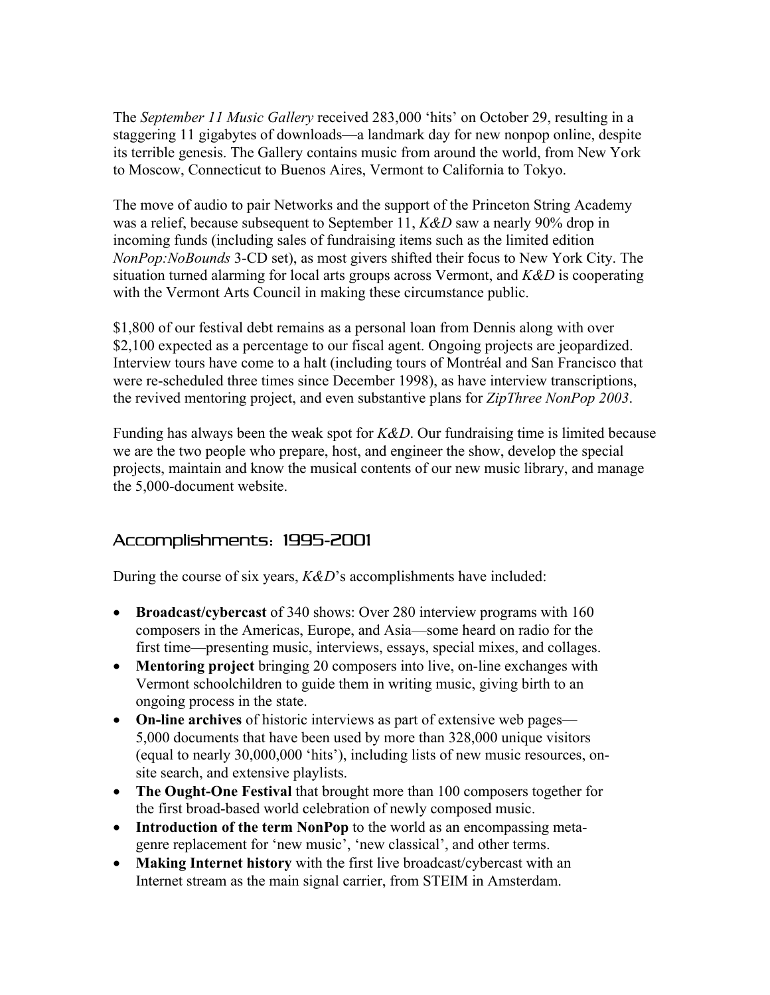The *September 11 Music Gallery* received 283,000 'hits' on October 29, resulting in a staggering 11 gigabytes of downloads—a landmark day for new nonpop online, despite its terrible genesis. The Gallery contains music from around the world, from New York to Moscow, Connecticut to Buenos Aires, Vermont to California to Tokyo.

The move of audio to pair Networks and the support of the Princeton String Academy was a relief, because subsequent to September 11, *K&D* saw a nearly 90% drop in incoming funds (including sales of fundraising items such as the limited edition *NonPop:NoBounds* 3-CD set), as most givers shifted their focus to New York City. The situation turned alarming for local arts groups across Vermont, and *K&D* is cooperating with the Vermont Arts Council in making these circumstance public.

\$1,800 of our festival debt remains as a personal loan from Dennis along with over \$2,100 expected as a percentage to our fiscal agent. Ongoing projects are jeopardized. Interview tours have come to a halt (including tours of Montréal and San Francisco that were re-scheduled three times since December 1998), as have interview transcriptions, the revived mentoring project, and even substantive plans for *ZipThree NonPop 2003*.

Funding has always been the weak spot for *K&D*. Our fundraising time is limited because we are the two people who prepare, host, and engineer the show, develop the special projects, maintain and know the musical contents of our new music library, and manage the 5,000-document website.

### Accomplishments: 1995-2001

During the course of six years, *K&D*'s accomplishments have included:

- **Broadcast/cybercast** of 340 shows: Over 280 interview programs with 160 composers in the Americas, Europe, and Asia—some heard on radio for the first time—presenting music, interviews, essays, special mixes, and collages.
- **Mentoring project** bringing 20 composers into live, on-line exchanges with Vermont schoolchildren to guide them in writing music, giving birth to an ongoing process in the state.
- **On-line archives** of historic interviews as part of extensive web pages— 5,000 documents that have been used by more than 328,000 unique visitors (equal to nearly 30,000,000 'hits'), including lists of new music resources, onsite search, and extensive playlists.
- **The Ought-One Festival** that brought more than 100 composers together for the first broad-based world celebration of newly composed music.
- **Introduction of the term NonPop** to the world as an encompassing metagenre replacement for 'new music', 'new classical', and other terms.
- **Making Internet history** with the first live broadcast/cybercast with an Internet stream as the main signal carrier, from STEIM in Amsterdam.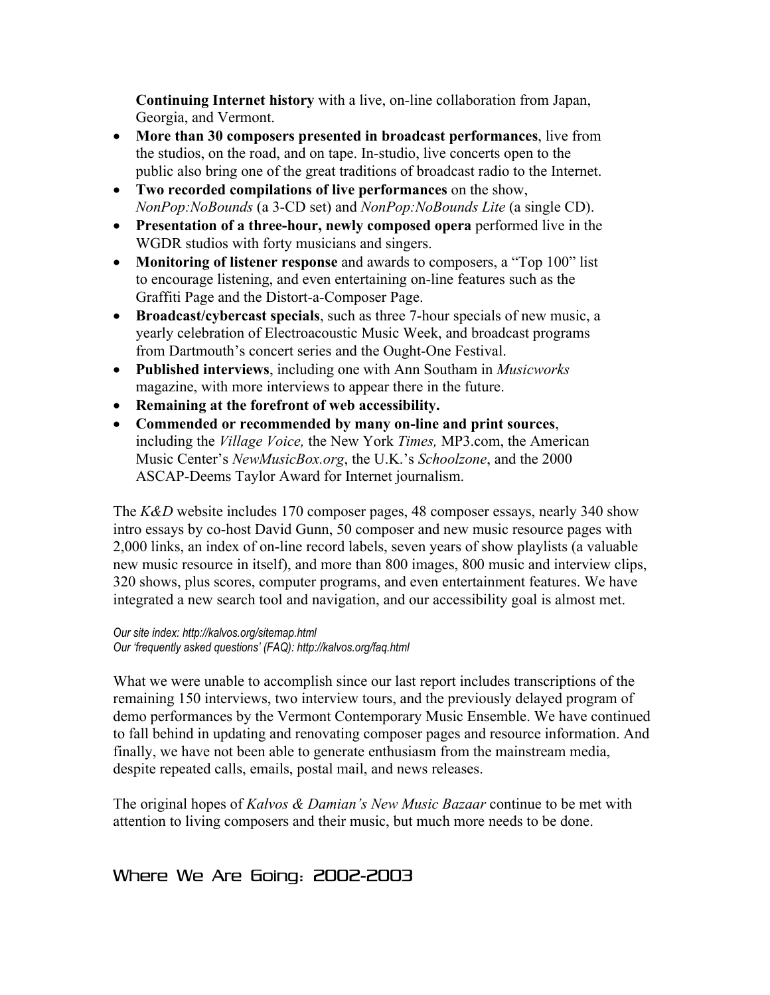**Continuing Internet history** with a live, on-line collaboration from Japan, Georgia, and Vermont.

- **More than 30 composers presented in broadcast performances**, live from the studios, on the road, and on tape. In-studio, live concerts open to the public also bring one of the great traditions of broadcast radio to the Internet.
- **Two recorded compilations of live performances** on the show, *NonPop:NoBounds* (a 3-CD set) and *NonPop:NoBounds Lite* (a single CD).
- **Presentation of a three-hour, newly composed opera** performed live in the WGDR studios with forty musicians and singers.
- **Monitoring of listener response** and awards to composers, a "Top 100" list to encourage listening, and even entertaining on-line features such as the Graffiti Page and the Distort-a-Composer Page.
- **Broadcast/cybercast specials**, such as three 7-hour specials of new music, a yearly celebration of Electroacoustic Music Week, and broadcast programs from Dartmouth's concert series and the Ought-One Festival.
- **Published interviews**, including one with Ann Southam in *Musicworks* magazine, with more interviews to appear there in the future.
- **Remaining at the forefront of web accessibility.**
- **Commended or recommended by many on-line and print sources**, including the *Village Voice,* the New York *Times,* MP3.com, the American Music Center's *NewMusicBox.org*, the U.K.'s *Schoolzone*, and the 2000 ASCAP-Deems Taylor Award for Internet journalism.

The *K&D* website includes 170 composer pages, 48 composer essays, nearly 340 show intro essays by co-host David Gunn, 50 composer and new music resource pages with 2,000 links, an index of on-line record labels, seven years of show playlists (a valuable new music resource in itself), and more than 800 images, 800 music and interview clips, 320 shows, plus scores, computer programs, and even entertainment features. We have integrated a new search tool and navigation, and our accessibility goal is almost met.

*Our site index: http://kalvos.org/sitemap.html Our 'frequently asked questions' (FAQ): http://kalvos.org/faq.html*

What we were unable to accomplish since our last report includes transcriptions of the remaining 150 interviews, two interview tours, and the previously delayed program of demo performances by the Vermont Contemporary Music Ensemble. We have continued to fall behind in updating and renovating composer pages and resource information. And finally, we have not been able to generate enthusiasm from the mainstream media, despite repeated calls, emails, postal mail, and news releases.

The original hopes of *Kalvos & Damian's New Music Bazaar* continue to be met with attention to living composers and their music, but much more needs to be done.

# Where We Are Going: 2002-2003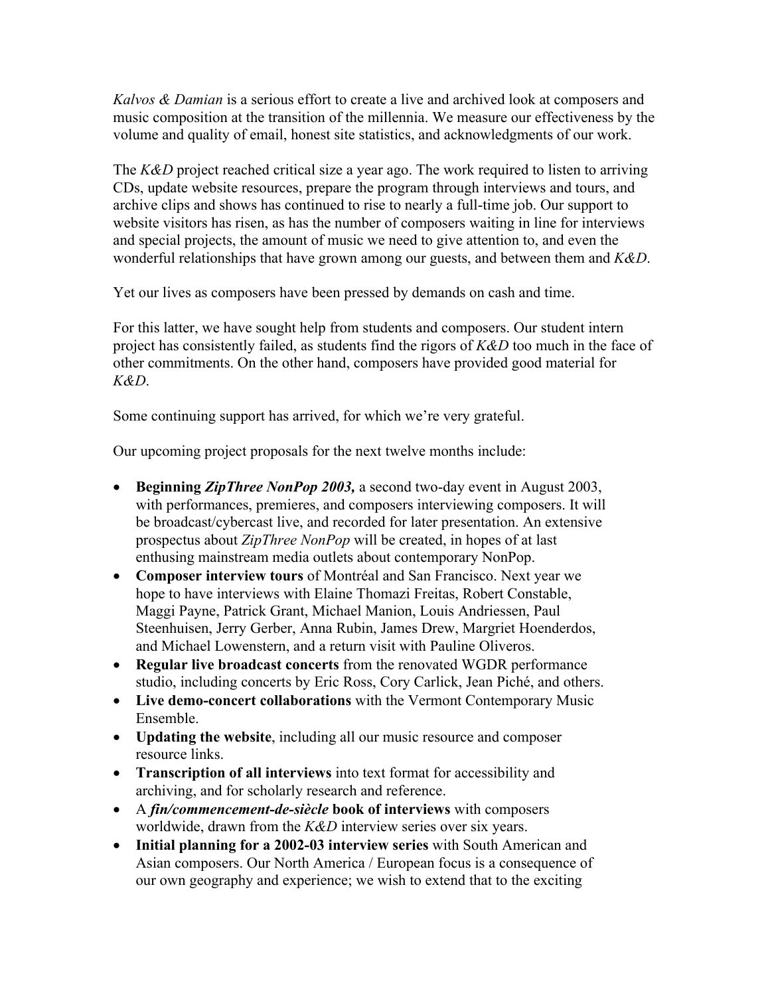*Kalvos & Damian* is a serious effort to create a live and archived look at composers and music composition at the transition of the millennia. We measure our effectiveness by the volume and quality of email, honest site statistics, and acknowledgments of our work.

The *K&D* project reached critical size a year ago. The work required to listen to arriving CDs, update website resources, prepare the program through interviews and tours, and archive clips and shows has continued to rise to nearly a full-time job. Our support to website visitors has risen, as has the number of composers waiting in line for interviews and special projects, the amount of music we need to give attention to, and even the wonderful relationships that have grown among our guests, and between them and *K&D*.

Yet our lives as composers have been pressed by demands on cash and time.

For this latter, we have sought help from students and composers. Our student intern project has consistently failed, as students find the rigors of *K&D* too much in the face of other commitments. On the other hand, composers have provided good material for *K&D*.

Some continuing support has arrived, for which we're very grateful.

Our upcoming project proposals for the next twelve months include:

- **Beginning** *ZipThree NonPop 2003,* a second two-day event in August 2003, with performances, premieres, and composers interviewing composers. It will be broadcast/cybercast live, and recorded for later presentation. An extensive prospectus about *ZipThree NonPop* will be created, in hopes of at last enthusing mainstream media outlets about contemporary NonPop.
- **Composer interview tours** of Montréal and San Francisco. Next year we hope to have interviews with Elaine Thomazi Freitas, Robert Constable, Maggi Payne, Patrick Grant, Michael Manion, Louis Andriessen, Paul Steenhuisen, Jerry Gerber, Anna Rubin, James Drew, Margriet Hoenderdos, and Michael Lowenstern, and a return visit with Pauline Oliveros.
- **Regular live broadcast concerts** from the renovated WGDR performance studio, including concerts by Eric Ross, Cory Carlick, Jean Piché, and others.
- **Live demo-concert collaborations** with the Vermont Contemporary Music Ensemble.
- **Updating the website**, including all our music resource and composer resource links.
- **Transcription of all interviews** into text format for accessibility and archiving, and for scholarly research and reference.
- A *fin/commencement-de-siècle* **book of interviews** with composers worldwide, drawn from the *K&D* interview series over six years.
- **Initial planning for a 2002-03 interview series** with South American and Asian composers. Our North America / European focus is a consequence of our own geography and experience; we wish to extend that to the exciting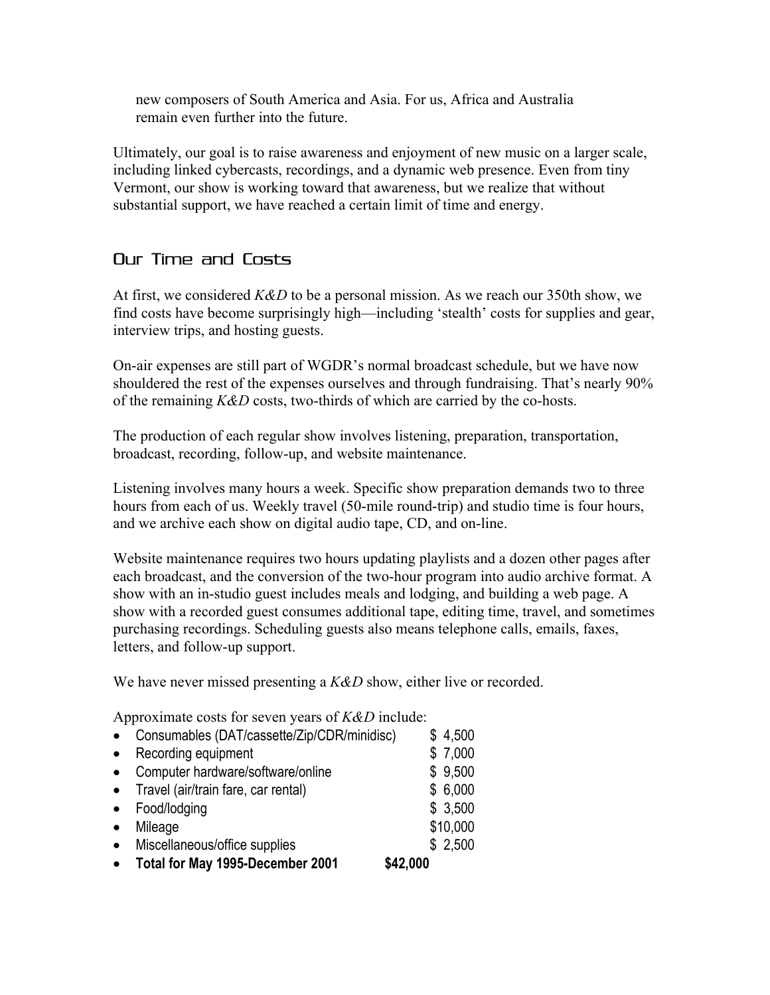new composers of South America and Asia. For us, Africa and Australia remain even further into the future.

Ultimately, our goal is to raise awareness and enjoyment of new music on a larger scale, including linked cybercasts, recordings, and a dynamic web presence. Even from tiny Vermont, our show is working toward that awareness, but we realize that without substantial support, we have reached a certain limit of time and energy.

# Our Time and Costs

At first, we considered *K&D* to be a personal mission. As we reach our 350th show, we find costs have become surprisingly high—including 'stealth' costs for supplies and gear, interview trips, and hosting guests.

On-air expenses are still part of WGDR's normal broadcast schedule, but we have now shouldered the rest of the expenses ourselves and through fundraising. That's nearly 90% of the remaining *K&D* costs, two-thirds of which are carried by the co-hosts.

The production of each regular show involves listening, preparation, transportation, broadcast, recording, follow-up, and website maintenance.

Listening involves many hours a week. Specific show preparation demands two to three hours from each of us. Weekly travel (50-mile round-trip) and studio time is four hours, and we archive each show on digital audio tape, CD, and on-line.

Website maintenance requires two hours updating playlists and a dozen other pages after each broadcast, and the conversion of the two-hour program into audio archive format. A show with an in-studio guest includes meals and lodging, and building a web page. A show with a recorded guest consumes additional tape, editing time, travel, and sometimes purchasing recordings. Scheduling guests also means telephone calls, emails, faxes, letters, and follow-up support.

We have never missed presenting a *K&D* show, either live or recorded.

Approximate costs for seven years of *K&D* include:

| $\bullet$ | Consumables (DAT/cassette/Zip/CDR/minidisc) | \$4,500  |
|-----------|---------------------------------------------|----------|
| $\bullet$ | Recording equipment                         | \$7,000  |
| $\bullet$ | Computer hardware/software/online           | \$9,500  |
| $\bullet$ | Travel (air/train fare, car rental)         | \$6,000  |
| $\bullet$ | Food/lodging                                | \$3,500  |
| $\bullet$ | Mileage                                     | \$10,000 |
| $\bullet$ | Miscellaneous/office supplies               | \$2,500  |
| $\bullet$ | Total for May 1995-December 2001            | \$42,000 |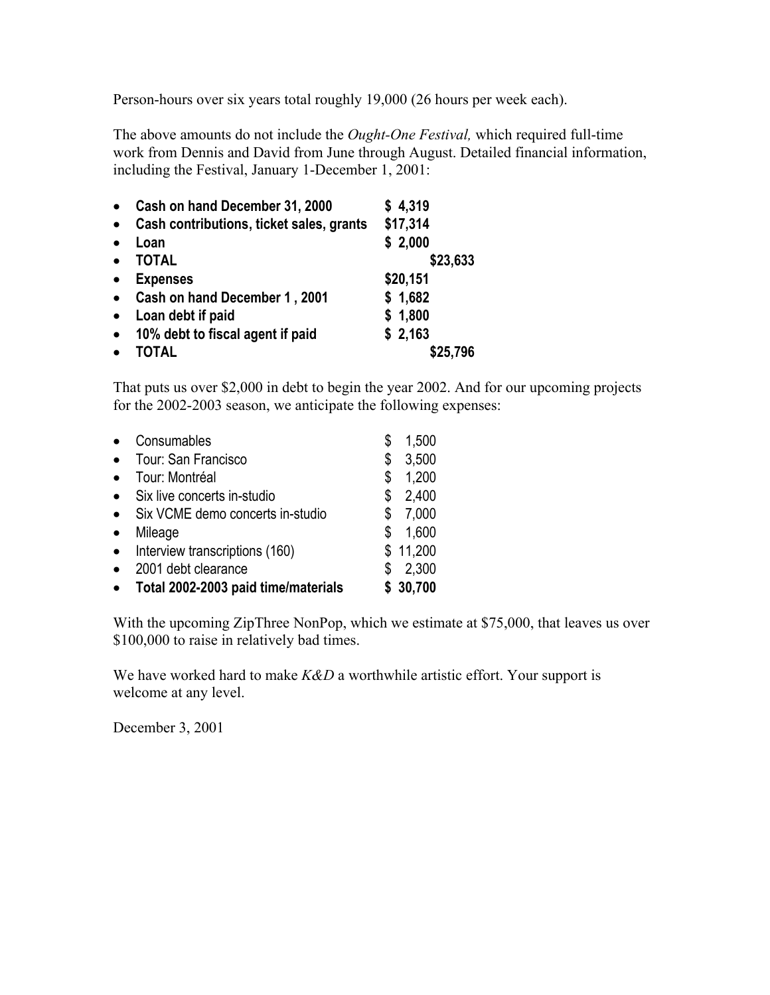Person-hours over six years total roughly 19,000 (26 hours per week each).

The above amounts do not include the *Ought-One Festival,* which required full-time work from Dennis and David from June through August. Detailed financial information, including the Festival, January 1-December 1, 2001:

| $\bullet$ | Cash on hand December 31, 2000           | \$4,319  |
|-----------|------------------------------------------|----------|
| $\bullet$ | Cash contributions, ticket sales, grants | \$17,314 |
| $\bullet$ | Loan                                     | \$2,000  |
| $\bullet$ | <b>TOTAL</b>                             | \$23,633 |
| $\bullet$ | <b>Expenses</b>                          | \$20,151 |
| $\bullet$ | Cash on hand December 1, 2001            | \$1,682  |
| $\bullet$ | Loan debt if paid                        | \$1,800  |
| $\bullet$ | 10% debt to fiscal agent if paid         | \$2,163  |
|           | TOTAL                                    | \$25,796 |

That puts us over \$2,000 in debt to begin the year 2002. And for our upcoming projects for the 2002-2003 season, we anticipate the following expenses:

|           | Consumables                         |    | 1,500    |
|-----------|-------------------------------------|----|----------|
| $\bullet$ | Tour: San Francisco                 | \$ | 3,500    |
| $\bullet$ | Tour: Montréal                      | \$ | 1,200    |
| $\bullet$ | Six live concerts in-studio         | \$ | 2,400    |
| $\bullet$ | Six VCME demo concerts in-studio    | S  | 7,000    |
| $\bullet$ | Mileage                             | \$ | 1,600    |
| $\bullet$ | Interview transcriptions (160)      |    | \$11,200 |
| $\bullet$ | 2001 debt clearance                 | S  | 2,300    |
| $\bullet$ | Total 2002-2003 paid time/materials |    | \$30,700 |

With the upcoming ZipThree NonPop, which we estimate at \$75,000, that leaves us over \$100,000 to raise in relatively bad times.

We have worked hard to make *K&D* a worthwhile artistic effort. Your support is welcome at any level.

December 3, 2001